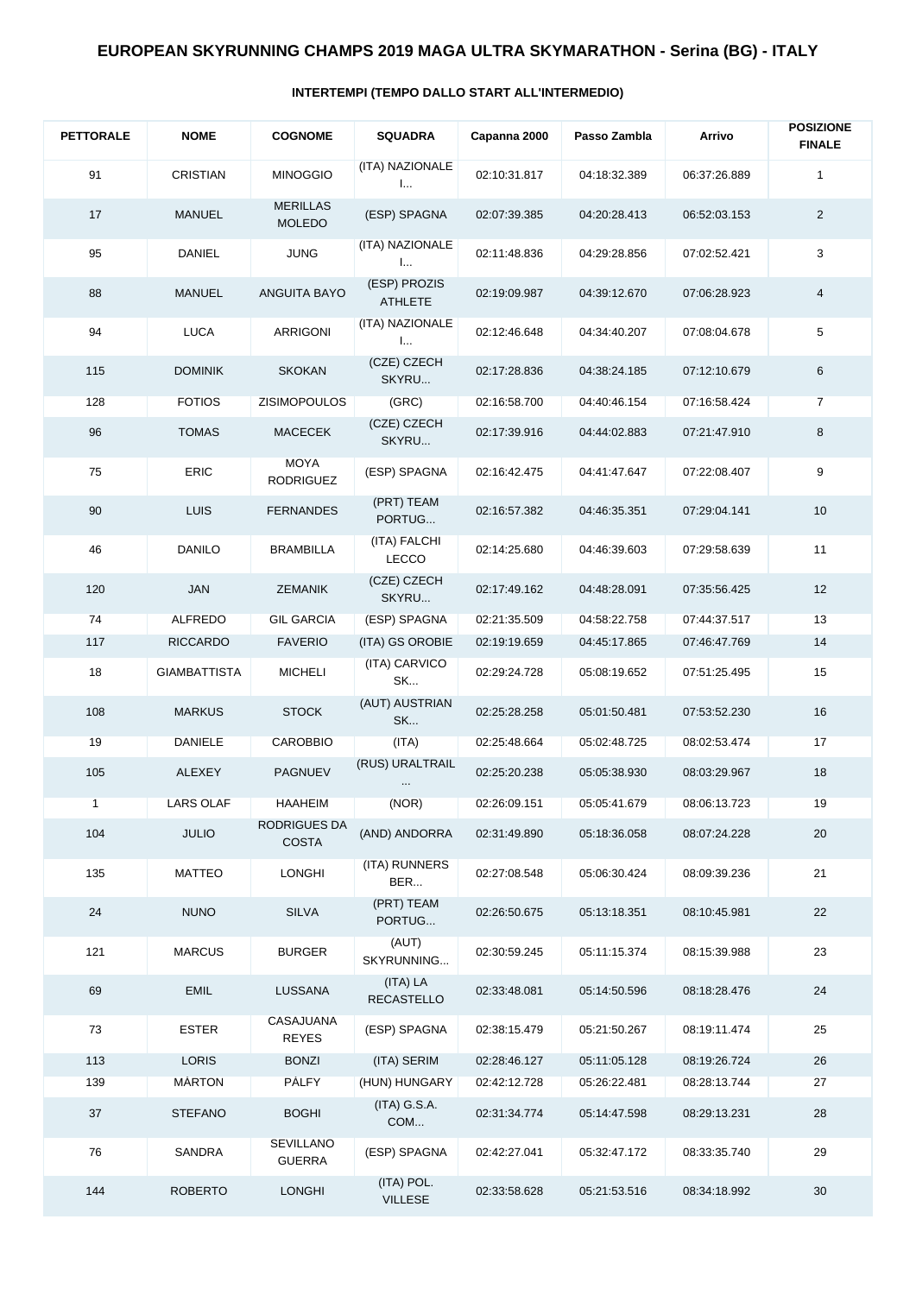## **INTERTEMPI (TEMPO DALLO START ALL'INTERMEDIO)**

| <b>PETTORALE</b> | <b>NOME</b>         | <b>COGNOME</b>                    | <b>SQUADRA</b>                 | Capanna 2000 | Passo Zambla | Arrivo       | <b>POSIZIONE</b><br><b>FINALE</b> |
|------------------|---------------------|-----------------------------------|--------------------------------|--------------|--------------|--------------|-----------------------------------|
| 91               | <b>CRISTIAN</b>     | <b>MINOGGIO</b>                   | (ITA) NAZIONALE<br>I           | 02:10:31.817 | 04:18:32.389 | 06:37:26.889 | 1                                 |
| 17               | <b>MANUEL</b>       | <b>MERILLAS</b><br><b>MOLEDO</b>  | (ESP) SPAGNA                   | 02:07:39.385 | 04:20:28.413 | 06:52:03.153 | $\overline{2}$                    |
| 95               | <b>DANIEL</b>       | <b>JUNG</b>                       | (ITA) NAZIONALE<br>I           | 02:11:48.836 | 04:29:28.856 | 07:02:52.421 | 3                                 |
| 88               | <b>MANUEL</b>       | ANGUITA BAYO                      | (ESP) PROZIS<br><b>ATHLETE</b> | 02:19:09.987 | 04:39:12.670 | 07:06:28.923 | 4                                 |
| 94               | <b>LUCA</b>         | ARRIGONI                          | (ITA) NAZIONALE<br>I           | 02:12:46.648 | 04:34:40.207 | 07:08:04.678 | 5                                 |
| 115              | <b>DOMINIK</b>      | <b>SKOKAN</b>                     | (CZE) CZECH<br>SKYRU           | 02:17:28.836 | 04:38:24.185 | 07:12:10.679 | 6                                 |
| 128              | <b>FOTIOS</b>       | <b>ZISIMOPOULOS</b>               | (GRC)                          | 02:16:58.700 | 04:40:46.154 | 07:16:58.424 | 7                                 |
| 96               | <b>TOMAS</b>        | <b>MACECEK</b>                    | (CZE) CZECH<br>SKYRU           | 02:17:39.916 | 04:44:02.883 | 07:21:47.910 | 8                                 |
| 75               | ERIC                | <b>MOYA</b><br><b>RODRIGUEZ</b>   | (ESP) SPAGNA                   | 02:16:42.475 | 04:41:47.647 | 07:22:08.407 | 9                                 |
| 90               | <b>LUIS</b>         | <b>FERNANDES</b>                  | (PRT) TEAM<br>PORTUG           | 02:16:57.382 | 04:46:35.351 | 07:29:04.141 | 10                                |
| 46               | <b>DANILO</b>       | <b>BRAMBILLA</b>                  | (ITA) FALCHI<br>LECCO          | 02:14:25.680 | 04:46:39.603 | 07:29:58.639 | 11                                |
| 120              | JAN                 | <b>ZEMANIK</b>                    | (CZE) CZECH<br>SKYRU           | 02:17:49.162 | 04:48:28.091 | 07:35:56.425 | 12                                |
| 74               | <b>ALFREDO</b>      | <b>GIL GARCIA</b>                 | (ESP) SPAGNA                   | 02:21:35.509 | 04:58:22.758 | 07:44:37.517 | 13                                |
| 117              | <b>RICCARDO</b>     | <b>FAVERIO</b>                    | (ITA) GS OROBIE                | 02:19:19.659 | 04:45:17.865 | 07:46:47.769 | 14                                |
| 18               | <b>GIAMBATTISTA</b> | <b>MICHELI</b>                    | (ITA) CARVICO<br>SK            | 02:29:24.728 | 05:08:19.652 | 07:51:25.495 | 15                                |
| 108              | <b>MARKUS</b>       | <b>STOCK</b>                      | (AUT) AUSTRIAN<br>SK           | 02:25:28.258 | 05:01:50.481 | 07:53:52.230 | 16                                |
| 19               | DANIELE             | <b>CAROBBIO</b>                   | (ITA)                          | 02:25:48.664 | 05:02:48.725 | 08:02:53.474 | 17                                |
| 105              | <b>ALEXEY</b>       | <b>PAGNUEV</b>                    | (RUS) URALTRAIL                | 02:25:20.238 | 05:05:38.930 | 08:03:29.967 | 18                                |
| $\mathbf{1}$     | LARS OLAF           | <b>HAAHEIM</b>                    | (NOR)                          | 02:26:09.151 | 05:05:41.679 | 08:06:13.723 | 19                                |
| 104              | <b>JULIO</b>        | RODRIGUES DA<br><b>COSTA</b>      | (AND) ANDORRA                  | 02:31:49.890 | 05:18:36.058 | 08:07:24.228 | 20                                |
| 135              | <b>MATTEO</b>       | <b>LONGHI</b>                     | (ITA) RUNNERS<br>BER           | 02:27:08.548 | 05:06:30.424 | 08:09:39.236 | 21                                |
| 24               | <b>NUNO</b>         | <b>SILVA</b>                      | (PRT) TEAM<br>PORTUG           | 02:26:50.675 | 05:13:18.351 | 08:10:45.981 | 22                                |
| 121              | <b>MARCUS</b>       | <b>BURGER</b>                     | (AUT)<br>SKYRUNNING            | 02:30:59.245 | 05:11:15.374 | 08:15:39.988 | 23                                |
| 69               | <b>EMIL</b>         | LUSSANA                           | (ITA) LA<br><b>RECASTELLO</b>  | 02:33:48.081 | 05:14:50.596 | 08:18:28.476 | 24                                |
| 73               | <b>ESTER</b>        | CASAJUANA<br><b>REYES</b>         | (ESP) SPAGNA                   | 02:38:15.479 | 05:21:50.267 | 08:19:11.474 | 25                                |
| 113              | <b>LORIS</b>        | <b>BONZI</b>                      | (ITA) SERIM                    | 02:28:46.127 | 05:11:05.128 | 08:19:26.724 | 26                                |
| 139              | <b>MÁRTON</b>       | <b>PÁLFY</b>                      | (HUN) HUNGARY                  | 02:42:12.728 | 05:26:22.481 | 08:28:13.744 | 27                                |
| 37               | <b>STEFANO</b>      | <b>BOGHI</b>                      | (ITA) G.S.A.<br>COM            | 02:31:34.774 | 05:14:47.598 | 08:29:13.231 | 28                                |
| 76               | SANDRA              | <b>SEVILLANO</b><br><b>GUERRA</b> | (ESP) SPAGNA                   | 02:42:27.041 | 05:32:47.172 | 08:33:35.740 | 29                                |
| 144              | <b>ROBERTO</b>      | <b>LONGHI</b>                     | (ITA) POL.<br><b>VILLESE</b>   | 02:33:58.628 | 05:21:53.516 | 08:34:18.992 | 30                                |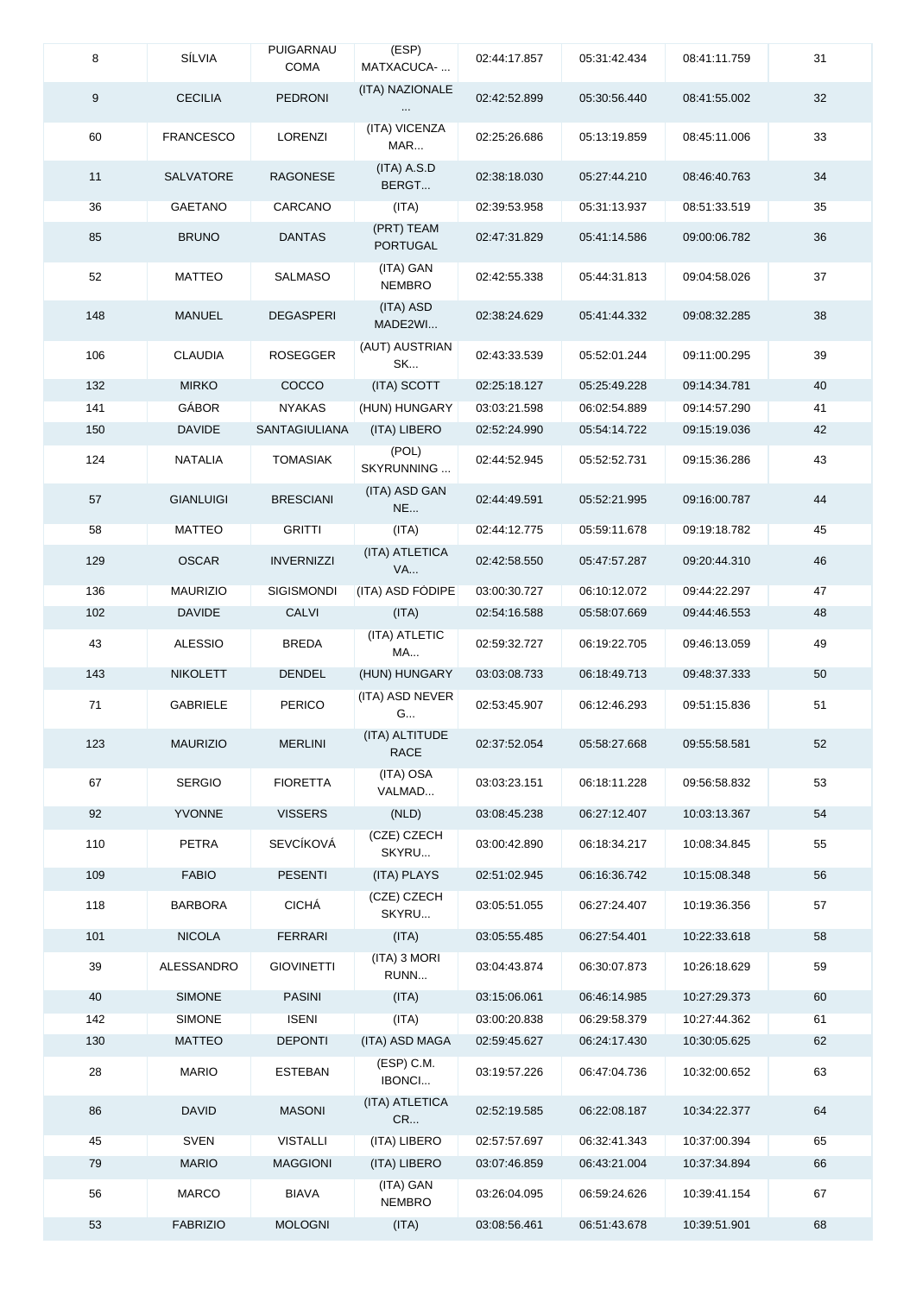| 8   | SÍLVIA           | PUIGARNAU<br><b>COMA</b> | (ESP)<br>MATXACUCA-           | 02:44:17.857 | 05:31:42.434 | 08:41:11.759 | 31 |
|-----|------------------|--------------------------|-------------------------------|--------------|--------------|--------------|----|
| 9   | <b>CECILIA</b>   | <b>PEDRONI</b>           | (ITA) NAZIONALE               | 02:42:52.899 | 05:30:56.440 | 08:41:55.002 | 32 |
| 60  | <b>FRANCESCO</b> | LORENZI                  | (ITA) VICENZA<br>MAR          | 02:25:26.686 | 05:13:19.859 | 08:45:11.006 | 33 |
| 11  | <b>SALVATORE</b> | RAGONESE                 | (ITA) A.S.D<br>BERGT          | 02:38:18.030 | 05:27:44.210 | 08:46:40.763 | 34 |
| 36  | GAETANO          | CARCANO                  | (ITA)                         | 02:39:53.958 | 05:31:13.937 | 08:51:33.519 | 35 |
| 85  | <b>BRUNO</b>     | <b>DANTAS</b>            | (PRT) TEAM<br><b>PORTUGAL</b> | 02:47:31.829 | 05:41:14.586 | 09:00:06.782 | 36 |
| 52  | MATTEO           | SALMASO                  | (ITA) GAN<br><b>NEMBRO</b>    | 02:42:55.338 | 05:44:31.813 | 09:04:58.026 | 37 |
| 148 | <b>MANUEL</b>    | <b>DEGASPERI</b>         | (ITA) ASD<br>MADE2WI          | 02:38:24.629 | 05:41:44.332 | 09:08:32.285 | 38 |
| 106 | <b>CLAUDIA</b>   | <b>ROSEGGER</b>          | (AUT) AUSTRIAN<br>SK          | 02:43:33.539 | 05:52:01.244 | 09:11:00.295 | 39 |
| 132 | <b>MIRKO</b>     | COCCO                    | (ITA) SCOTT                   | 02:25:18.127 | 05:25:49.228 | 09:14:34.781 | 40 |
| 141 | <b>GÁBOR</b>     | <b>NYAKAS</b>            | (HUN) HUNGARY                 | 03:03:21.598 | 06:02:54.889 | 09:14:57.290 | 41 |
| 150 | <b>DAVIDE</b>    | <b>SANTAGIULIANA</b>     | (ITA) LIBERO                  | 02:52:24.990 | 05:54:14.722 | 09:15:19.036 | 42 |
| 124 | NATALIA          | <b>TOMASIAK</b>          | (POL)<br>SKYRUNNING           | 02:44:52.945 | 05:52:52.731 | 09:15:36.286 | 43 |
| 57  | <b>GIANLUIGI</b> | <b>BRESCIANI</b>         | (ITA) ASD GAN<br><b>NE</b>    | 02:44:49.591 | 05:52:21.995 | 09:16:00.787 | 44 |
| 58  | <b>MATTEO</b>    | <b>GRITTI</b>            | (ITA)                         | 02:44:12.775 | 05:59:11.678 | 09:19:18.782 | 45 |
| 129 | <b>OSCAR</b>     | <b>INVERNIZZI</b>        | (ITA) ATLETICA<br><b>VA</b>   | 02:42:58.550 | 05:47:57.287 | 09:20:44.310 | 46 |
| 136 | <b>MAURIZIO</b>  | <b>SIGISMONDI</b>        | (ITA) ASD FODIPE              | 03:00:30.727 | 06:10:12.072 | 09:44:22.297 | 47 |
| 102 | <b>DAVIDE</b>    | <b>CALVI</b>             | (ITA)                         | 02:54:16.588 | 05:58:07.669 | 09:44:46.553 | 48 |
| 43  | <b>ALESSIO</b>   | <b>BREDA</b>             | (ITA) ATLETIC<br>MA           | 02:59:32.727 | 06:19:22.705 | 09:46:13.059 | 49 |
| 143 | <b>NIKOLETT</b>  | <b>DENDEL</b>            | (HUN) HUNGARY                 | 03:03:08.733 | 06:18:49.713 | 09:48:37.333 | 50 |
| 71  | <b>GABRIELE</b>  | <b>PERICO</b>            | (ITA) ASD NEVER<br>G          | 02:53:45.907 | 06:12:46.293 | 09:51:15.836 | 51 |
| 123 | <b>MAURIZIO</b>  | <b>MERLINI</b>           | (ITA) ALTITUDE<br><b>RACE</b> | 02:37:52.054 | 05:58:27.668 | 09:55:58.581 | 52 |
| 67  | <b>SERGIO</b>    | <b>FIORETTA</b>          | (ITA) OSA<br>VALMAD           | 03:03:23.151 | 06:18:11.228 | 09:56:58.832 | 53 |
| 92  | YVONNE           | <b>VISSERS</b>           | (NLD)                         | 03:08:45.238 | 06:27:12.407 | 10:03:13.367 | 54 |
| 110 | <b>PETRA</b>     | SEVCÍKOVÁ                | (CZE) CZECH<br>SKYRU          | 03:00:42.890 | 06:18:34.217 | 10:08:34.845 | 55 |
| 109 | <b>FABIO</b>     | <b>PESENTI</b>           | (ITA) PLAYS                   | 02:51:02.945 | 06:16:36.742 | 10:15:08.348 | 56 |
| 118 | <b>BARBORA</b>   | CICHÁ                    | (CZE) CZECH<br>SKYRU          | 03:05:51.055 | 06:27:24.407 | 10:19:36.356 | 57 |
| 101 | <b>NICOLA</b>    | <b>FERRARI</b>           | (ITA)                         | 03:05:55.485 | 06:27:54.401 | 10:22:33.618 | 58 |
| 39  | ALESSANDRO       | <b>GIOVINETTI</b>        | (ITA) 3 MORI<br>RUNN          | 03:04:43.874 | 06:30:07.873 | 10:26:18.629 | 59 |
| 40  | <b>SIMONE</b>    | <b>PASINI</b>            | (ITA)                         | 03:15:06.061 | 06:46:14.985 | 10:27:29.373 | 60 |
| 142 | <b>SIMONE</b>    | <b>ISENI</b>             | (ITA)                         | 03:00:20.838 | 06:29:58.379 | 10:27:44.362 | 61 |
| 130 | MATTEO           | <b>DEPONTI</b>           | (ITA) ASD MAGA                | 02:59:45.627 | 06:24:17.430 | 10:30:05.625 | 62 |
| 28  | <b>MARIO</b>     | ESTEBAN                  | $(ESP)$ C.M.<br>IBONCI        | 03:19:57.226 | 06:47:04.736 | 10:32:00.652 | 63 |
| 86  | <b>DAVID</b>     | <b>MASONI</b>            | (ITA) ATLETICA<br>CR          | 02:52:19.585 | 06:22:08.187 | 10:34:22.377 | 64 |
| 45  | <b>SVEN</b>      | <b>VISTALLI</b>          | (ITA) LIBERO                  | 02:57:57.697 | 06:32:41.343 | 10:37:00.394 | 65 |
| 79  | <b>MARIO</b>     | <b>MAGGIONI</b>          | (ITA) LIBERO                  | 03:07:46.859 | 06:43:21.004 | 10:37:34.894 | 66 |
| 56  | <b>MARCO</b>     | <b>BIAVA</b>             | (ITA) GAN<br>NEMBRO           | 03:26:04.095 | 06:59:24.626 | 10:39:41.154 | 67 |
| 53  | <b>FABRIZIO</b>  | <b>MOLOGNI</b>           | (ITA)                         | 03:08:56.461 | 06:51:43.678 | 10:39:51.901 | 68 |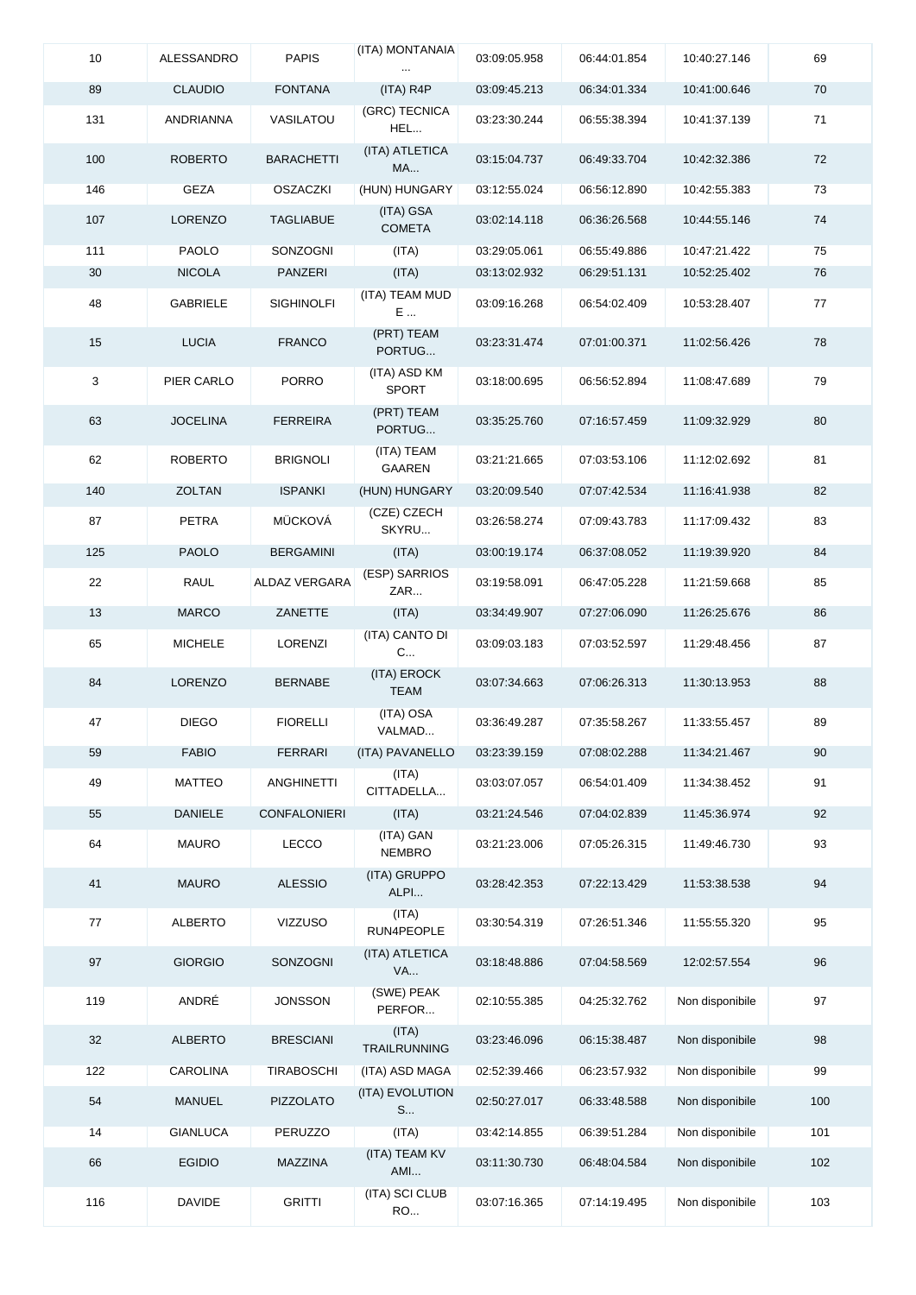| 10           | ALESSANDRO      | <b>PAPIS</b>        | (ITA) MONTANAIA              | 03:09:05.958 | 06:44:01.854 | 10:40:27.146    | 69  |
|--------------|-----------------|---------------------|------------------------------|--------------|--------------|-----------------|-----|
| 89           | <b>CLAUDIO</b>  | <b>FONTANA</b>      | $(ITA)$ R4P                  | 03:09:45.213 | 06:34:01.334 | 10:41:00.646    | 70  |
| 131          | ANDRIANNA       | VASILATOU           | (GRC) TECNICA<br>HEL         | 03:23:30.244 | 06:55:38.394 | 10:41:37.139    | 71  |
| 100          | <b>ROBERTO</b>  | <b>BARACHETTI</b>   | (ITA) ATLETICA<br><b>MA</b>  | 03:15:04.737 | 06:49:33.704 | 10:42:32.386    | 72  |
| 146          | GEZA            | <b>OSZACZKI</b>     | (HUN) HUNGARY                | 03:12:55.024 | 06:56:12.890 | 10:42:55.383    | 73  |
| 107          | <b>LORENZO</b>  | <b>TAGLIABUE</b>    | (ITA) GSA<br><b>COMETA</b>   | 03:02:14.118 | 06:36:26.568 | 10:44:55.146    | 74  |
| 111          | <b>PAOLO</b>    | <b>SONZOGNI</b>     | (ITA)                        | 03:29:05.061 | 06:55:49.886 | 10:47:21.422    | 75  |
| 30           | <b>NICOLA</b>   | PANZERI             | (ITA)                        | 03:13:02.932 | 06:29:51.131 | 10:52:25.402    | 76  |
| 48           | <b>GABRIELE</b> | <b>SIGHINOLFI</b>   | (ITA) TEAM MUD<br>E          | 03:09:16.268 | 06:54:02.409 | 10:53:28.407    | 77  |
| 15           | <b>LUCIA</b>    | <b>FRANCO</b>       | (PRT) TEAM<br>PORTUG         | 03:23:31.474 | 07:01:00.371 | 11:02:56.426    | 78  |
| $\mathbf{3}$ | PIER CARLO      | <b>PORRO</b>        | (ITA) ASD KM<br>SPORT        | 03:18:00.695 | 06:56:52.894 | 11:08:47.689    | 79  |
| 63           | <b>JOCELINA</b> | <b>FERREIRA</b>     | (PRT) TEAM<br>PORTUG         | 03:35:25.760 | 07:16:57.459 | 11:09:32.929    | 80  |
| 62           | <b>ROBERTO</b>  | <b>BRIGNOLI</b>     | (ITA) TEAM<br>GAAREN         | 03:21:21.665 | 07:03:53.106 | 11:12:02.692    | 81  |
| 140          | <b>ZOLTAN</b>   | <b>ISPANKI</b>      | (HUN) HUNGARY                | 03:20:09.540 | 07:07:42.534 | 11:16:41.938    | 82  |
| 87           | PETRA           | <b>MÜCKOVÁ</b>      | (CZE) CZECH<br>SKYRU         | 03:26:58.274 | 07:09:43.783 | 11:17:09.432    | 83  |
| 125          | <b>PAOLO</b>    | <b>BERGAMINI</b>    | (ITA)                        | 03:00:19.174 | 06:37:08.052 | 11:19:39.920    | 84  |
| 22           | <b>RAUL</b>     | ALDAZ VERGARA       | (ESP) SARRIOS<br>ZAR         | 03:19:58.091 | 06:47:05.228 | 11:21:59.668    | 85  |
| 13           | <b>MARCO</b>    | ZANETTE             | (ITA)                        | 03:34:49.907 | 07:27:06.090 | 11:26:25.676    | 86  |
| 65           | <b>MICHELE</b>  | LORENZI             | (ITA) CANTO DI<br>C          | 03:09:03.183 | 07:03:52.597 | 11:29:48.456    | 87  |
| 84           | LORENZO         | <b>BERNABE</b>      | (ITA) EROCK<br><b>TEAM</b>   | 03:07:34.663 | 07:06:26.313 | 11:30:13.953    | 88  |
| 47           | <b>DIEGO</b>    | <b>FIORELLI</b>     | (ITA) OSA<br>VALMAD          | 03:36:49.287 | 07:35:58.267 | 11:33:55.457    | 89  |
| 59           | <b>FABIO</b>    | <b>FERRARI</b>      | (ITA) PAVANELLO              | 03:23:39.159 | 07:08:02.288 | 11:34:21.467    | 90  |
| 49           | <b>MATTEO</b>   | <b>ANGHINETTI</b>   | (ITA)<br>CITTADELLA          | 03:03:07.057 | 06:54:01.409 | 11:34:38.452    | 91  |
| 55           | <b>DANIELE</b>  | <b>CONFALONIERI</b> | (ITA)                        | 03:21:24.546 | 07:04:02.839 | 11:45:36.974    | 92  |
| 64           | <b>MAURO</b>    | LECCO               | (ITA) GAN<br><b>NEMBRO</b>   | 03:21:23.006 | 07:05:26.315 | 11:49:46.730    | 93  |
| 41           | <b>MAURO</b>    | <b>ALESSIO</b>      | (ITA) GRUPPO<br>ALPI         | 03:28:42.353 | 07:22:13.429 | 11:53:38.538    | 94  |
| 77           | ALBERTO         | VIZZUSO             | (ITA)<br>RUN4PEOPLE          | 03:30:54.319 | 07:26:51.346 | 11:55:55.320    | 95  |
| 97           | <b>GIORGIO</b>  | SONZOGNI            | (ITA) ATLETICA<br><b>VA</b>  | 03:18:48.886 | 07:04:58.569 | 12:02:57.554    | 96  |
| 119          | ANDRÉ           | JONSSON             | (SWE) PEAK<br>PERFOR         | 02:10:55.385 | 04:25:32.762 | Non disponibile | 97  |
| 32           | <b>ALBERTO</b>  | <b>BRESCIANI</b>    | (ITA)<br><b>TRAILRUNNING</b> | 03:23:46.096 | 06:15:38.487 | Non disponibile | 98  |
| 122          | <b>CAROLINA</b> | <b>TIRABOSCHI</b>   | (ITA) ASD MAGA               | 02:52:39.466 | 06:23:57.932 | Non disponibile | 99  |
| 54           | <b>MANUEL</b>   | PIZZOLATO           | (ITA) EVOLUTION<br>S         | 02:50:27.017 | 06:33:48.588 | Non disponibile | 100 |
| 14           | <b>GIANLUCA</b> | PERUZZO             | (ITA)                        | 03:42:14.855 | 06:39:51.284 | Non disponibile | 101 |
| 66           | <b>EGIDIO</b>   | MAZZINA             | (ITA) TEAM KV<br>AMI         | 03:11:30.730 | 06:48:04.584 | Non disponibile | 102 |
| 116          | <b>DAVIDE</b>   | <b>GRITTI</b>       | (ITA) SCI CLUB<br><b>RO</b>  | 03:07:16.365 | 07:14:19.495 | Non disponibile | 103 |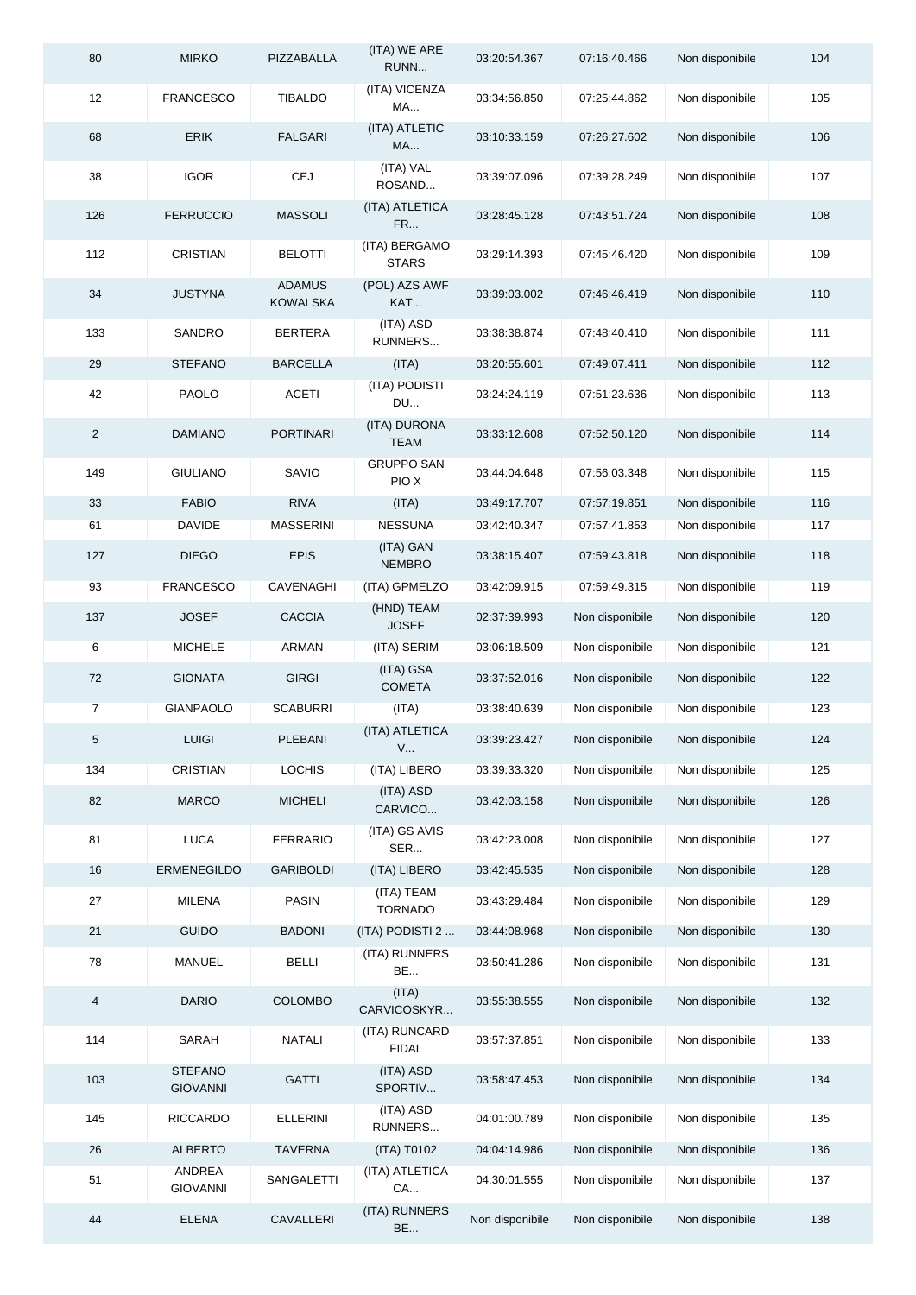| 80             | <b>MIRKO</b>                      | PIZZABALLA                | (ITA) WE ARE<br>RUNN          | 03:20:54.367    | 07:16:40.466    | Non disponibile | 104 |
|----------------|-----------------------------------|---------------------------|-------------------------------|-----------------|-----------------|-----------------|-----|
| 12             | <b>FRANCESCO</b>                  | <b>TIBALDO</b>            | (ITA) VICENZA<br>MA           | 03:34:56.850    | 07:25:44.862    | Non disponibile | 105 |
| 68             | <b>ERIK</b>                       | <b>FALGARI</b>            | (ITA) ATLETIC<br>MA           | 03:10:33.159    | 07:26:27.602    | Non disponibile | 106 |
| 38             | <b>IGOR</b>                       | CEJ                       | (ITA) VAL<br>ROSAND           | 03:39:07.096    | 07:39:28.249    | Non disponibile | 107 |
| 126            | <b>FERRUCCIO</b>                  | <b>MASSOLI</b>            | (ITA) ATLETICA<br>FR          | 03:28:45.128    | 07:43:51.724    | Non disponibile | 108 |
| 112            | <b>CRISTIAN</b>                   | <b>BELOTTI</b>            | (ITA) BERGAMO<br><b>STARS</b> | 03:29:14.393    | 07:45:46.420    | Non disponibile | 109 |
| 34             | <b>JUSTYNA</b>                    | <b>ADAMUS</b><br>KOWALSKA | (POL) AZS AWF<br>KAT          | 03:39:03.002    | 07:46:46.419    | Non disponibile | 110 |
| 133            | SANDRO                            | <b>BERTERA</b>            | (ITA) ASD<br>RUNNERS          | 03:38:38.874    | 07:48:40.410    | Non disponibile | 111 |
| 29             | <b>STEFANO</b>                    | <b>BARCELLA</b>           | (ITA)                         | 03:20:55.601    | 07:49:07.411    | Non disponibile | 112 |
| 42             | PAOLO                             | <b>ACETI</b>              | (ITA) PODISTI<br><b>DU</b>    | 03:24:24.119    | 07:51:23.636    | Non disponibile | 113 |
| $\overline{2}$ | <b>DAMIANO</b>                    | <b>PORTINARI</b>          | (ITA) DURONA<br><b>TEAM</b>   | 03:33:12.608    | 07:52:50.120    | Non disponibile | 114 |
| 149            | <b>GIULIANO</b>                   | SAVIO                     | <b>GRUPPO SAN</b><br>PIO X    | 03:44:04.648    | 07:56:03.348    | Non disponibile | 115 |
| 33             | <b>FABIO</b>                      | <b>RIVA</b>               | (ITA)                         | 03:49:17.707    | 07:57:19.851    | Non disponibile | 116 |
| 61             | <b>DAVIDE</b>                     | <b>MASSERINI</b>          | <b>NESSUNA</b>                | 03:42:40.347    | 07:57:41.853    | Non disponibile | 117 |
| 127            | <b>DIEGO</b>                      | <b>EPIS</b>               | (ITA) GAN<br><b>NEMBRO</b>    | 03:38:15.407    | 07:59:43.818    | Non disponibile | 118 |
| 93             | <b>FRANCESCO</b>                  | CAVENAGHI                 | (ITA) GPMELZO                 | 03:42:09.915    | 07:59:49.315    | Non disponibile | 119 |
| 137            | <b>JOSEF</b>                      | <b>CACCIA</b>             | (HND) TEAM<br><b>JOSEF</b>    | 02:37:39.993    | Non disponibile | Non disponibile | 120 |
| 6              | <b>MICHELE</b>                    | ARMAN                     | (ITA) SERIM                   | 03:06:18.509    | Non disponibile | Non disponibile | 121 |
| 72             | <b>GIONATA</b>                    | <b>GIRGI</b>              | (ITA) GSA<br><b>COMETA</b>    | 03:37:52.016    | Non disponibile | Non disponibile | 122 |
| 7              | GIANPAOLO                         | <b>SCABURRI</b>           | (ITA)                         | 03:38:40.639    | Non disponibile | Non disponibile | 123 |
| 5              | <b>LUIGI</b>                      | PLEBANI                   | (ITA) ATLETICA<br>V           | 03:39:23.427    | Non disponibile | Non disponibile | 124 |
| 134            | <b>CRISTIAN</b>                   | <b>LOCHIS</b>             | (ITA) LIBERO                  | 03:39:33.320    | Non disponibile | Non disponibile | 125 |
| 82             | <b>MARCO</b>                      | <b>MICHELI</b>            | (ITA) ASD<br>CARVICO          | 03:42:03.158    | Non disponibile | Non disponibile | 126 |
| 81             | <b>LUCA</b>                       | <b>FERRARIO</b>           | (ITA) GS AVIS<br>SER          | 03:42:23.008    | Non disponibile | Non disponibile | 127 |
| 16             | <b>ERMENEGILDO</b>                | <b>GARIBOLDI</b>          | (ITA) LIBERO                  | 03:42:45.535    | Non disponibile | Non disponibile | 128 |
| 27             | <b>MILENA</b>                     | <b>PASIN</b>              | (ITA) TEAM<br><b>TORNADO</b>  | 03:43:29.484    | Non disponibile | Non disponibile | 129 |
| 21             | <b>GUIDO</b>                      | <b>BADONI</b>             | (ITA) PODISTI 2               | 03:44:08.968    | Non disponibile | Non disponibile | 130 |
| 78             | <b>MANUEL</b>                     | <b>BELLI</b>              | (ITA) RUNNERS<br><b>BE</b>    | 03:50:41.286    | Non disponibile | Non disponibile | 131 |
| 4              | <b>DARIO</b>                      | <b>COLOMBO</b>            | (ITA)<br>CARVICOSKYR          | 03:55:38.555    | Non disponibile | Non disponibile | 132 |
| 114            | SARAH                             | <b>NATALI</b>             | (ITA) RUNCARD<br><b>FIDAL</b> | 03:57:37.851    | Non disponibile | Non disponibile | 133 |
| 103            | <b>STEFANO</b><br><b>GIOVANNI</b> | <b>GATTI</b>              | (ITA) ASD<br>SPORTIV          | 03:58:47.453    | Non disponibile | Non disponibile | 134 |
| 145            | <b>RICCARDO</b>                   | <b>ELLERINI</b>           | (ITA) ASD<br>RUNNERS          | 04:01:00.789    | Non disponibile | Non disponibile | 135 |
| 26             | <b>ALBERTO</b>                    | <b>TAVERNA</b>            | (ITA) T0102                   | 04:04:14.986    | Non disponibile | Non disponibile | 136 |
| 51             | ANDREA<br><b>GIOVANNI</b>         | SANGALETTI                | (ITA) ATLETICA<br><b>CA</b>   | 04:30:01.555    | Non disponibile | Non disponibile | 137 |
| 44             | <b>ELENA</b>                      | CAVALLERI                 | (ITA) RUNNERS<br><b>BE</b>    | Non disponibile | Non disponibile | Non disponibile | 138 |